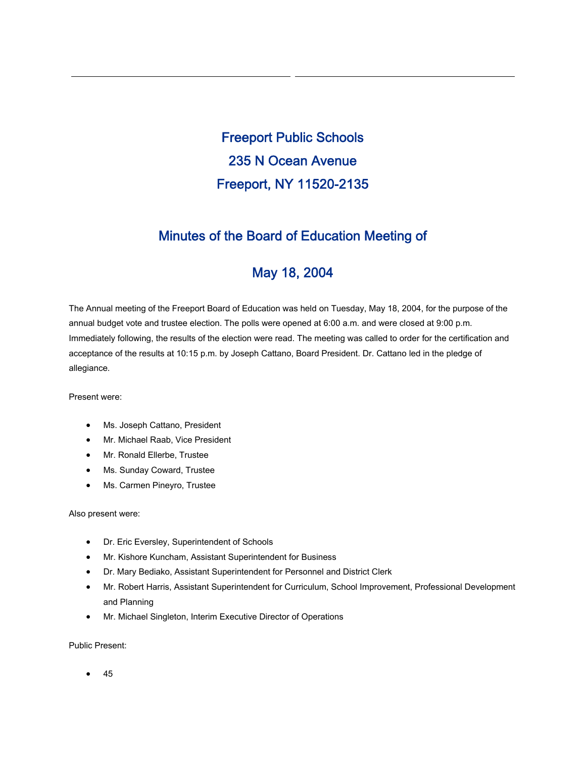Freeport Public Schools 235 N Ocean Avenue Freeport, NY 11520-2135

## Minutes of the Board of Education Meeting of

# May 18, 2004

The Annual meeting of the Freeport Board of Education was held on Tuesday, May 18, 2004, for the purpose of the annual budget vote and trustee election. The polls were opened at 6:00 a.m. and were closed at 9:00 p.m. Immediately following, the results of the election were read. The meeting was called to order for the certification and acceptance of the results at 10:15 p.m. by Joseph Cattano, Board President. Dr. Cattano led in the pledge of allegiance.

Present were:

- Ms. Joseph Cattano, President
- Mr. Michael Raab, Vice President
- Mr. Ronald Ellerbe, Trustee
- Ms. Sunday Coward, Trustee
- Ms. Carmen Pineyro, Trustee

Also present were:

- Dr. Eric Eversley, Superintendent of Schools
- Mr. Kishore Kuncham, Assistant Superintendent for Business
- Dr. Mary Bediako, Assistant Superintendent for Personnel and District Clerk
- Mr. Robert Harris, Assistant Superintendent for Curriculum, School Improvement, Professional Development and Planning
- Mr. Michael Singleton, Interim Executive Director of Operations

Public Present:

• 45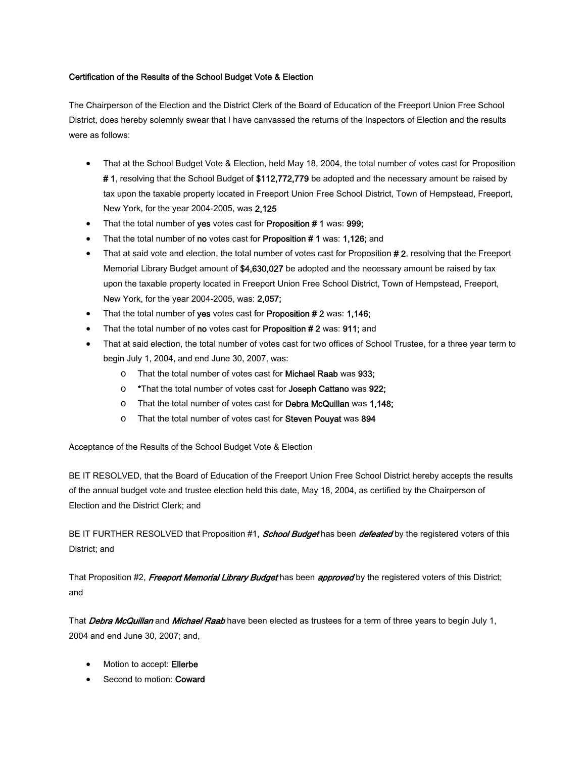#### Certification of the Results of the School Budget Vote & Election

The Chairperson of the Election and the District Clerk of the Board of Education of the Freeport Union Free School District, does hereby solemnly swear that I have canvassed the returns of the Inspectors of Election and the results were as follows:

- That at the School Budget Vote & Election, held May 18, 2004, the total number of votes cast for Proposition # 1, resolving that the School Budget of \$112,772,779 be adopted and the necessary amount be raised by tax upon the taxable property located in Freeport Union Free School District, Town of Hempstead, Freeport, New York, for the year 2004-2005, was 2,125
- That the total number of yes votes cast for Proposition #1 was: 999;
- That the total number of no votes cast for Proposition #1 was: 1,126; and
- That at said vote and election, the total number of votes cast for Proposition #2, resolving that the Freeport Memorial Library Budget amount of \$4,630,027 be adopted and the necessary amount be raised by tax upon the taxable property located in Freeport Union Free School District, Town of Hempstead, Freeport, New York, for the year 2004-2005, was: 2,057;
- That the total number of yes votes cast for Proposition # 2 was: 1,146;
- That the total number of no votes cast for Proposition # 2 was: 911; and
- That at said election, the total number of votes cast for two offices of School Trustee, for a three year term to begin July 1, 2004, and end June 30, 2007, was:
	- o That the total number of votes cast for Michael Raab was 933;
	- o \*That the total number of votes cast for Joseph Cattano was 922;
	- o That the total number of votes cast for Debra McQuillan was 1,148;
	- o That the total number of votes cast for Steven Pouyat was 894

Acceptance of the Results of the School Budget Vote & Election

BE IT RESOLVED, that the Board of Education of the Freeport Union Free School District hereby accepts the results of the annual budget vote and trustee election held this date, May 18, 2004, as certified by the Chairperson of Election and the District Clerk; and

BE IT FURTHER RESOLVED that Proposition #1, *School Budget* has been *defeated* by the registered voters of this District; and

That Proposition #2, Freeport Memorial Library Budget has been approved by the registered voters of this District; and

That Debra McQuillan and Michael Raab have been elected as trustees for a term of three years to begin July 1, 2004 and end June 30, 2007; and,

- Motion to accept: Ellerbe
- Second to motion: Coward